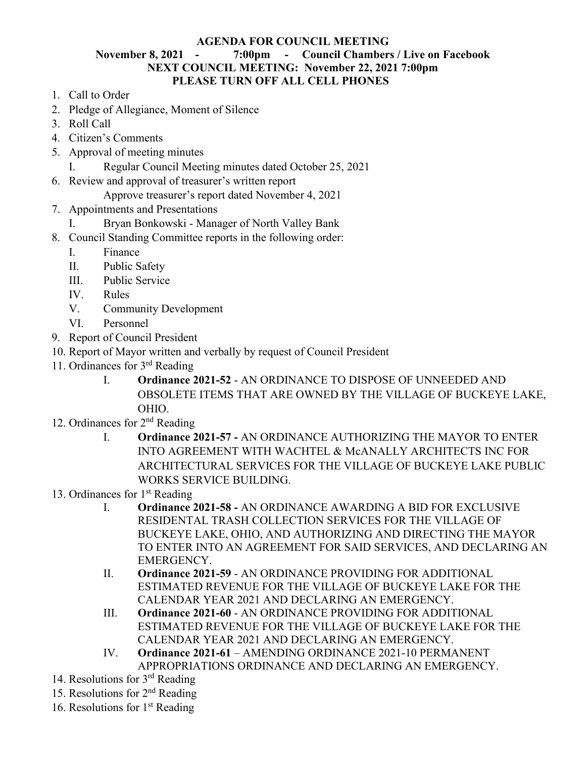## **AGENDA FOR COUNCIL MEETING**

## **November 8, 2021 - 7:00pm - Council Chambers / Live on Facebook NEXT COUNCIL MEETING: November 22, 2021 7:00pm PLEASE TURN OFF ALL CELL PHONES**

- 1. Call to Order
- 2. Pledge of Allegiance, Moment of Silence
- 3. Roll Call
- 4. Citizen's Comments
- 5. Approval of meeting minutes
	- I. Regular Council Meeting minutes dated October 25, 2021
- 6. Review and approval of treasurer's written report

Approve treasurer's report dated November 4, 2021

- 7. Appointments and Presentations
	- I. Bryan Bonkowski Manager of North Valley Bank
- 8. Council Standing Committee reports in the following order:
	- I. Finance
	- II. Public Safety
	- III. Public Service
	- IV. Rules
	- V. Community Development
	- VI. Personnel
- 9. Report of Council President
- 10. Report of Mayor written and verbally by request of Council President
- 11. Ordinances for 3rd Reading
	- I. **Ordinance 2021-52** AN ORDINANCE TO DISPOSE OF UNNEEDED AND OBSOLETE ITEMS THAT ARE OWNED BY THE VILLAGE OF BUCKEYE LAKE, OHIO.
- 12. Ordinances for 2nd Reading
	- I. **Ordinance 2021-57 -** AN ORDINANCE AUTHORIZING THE MAYOR TO ENTER INTO AGREEMENT WITH WACHTEL & McANALLY ARCHITECTS INC FOR ARCHITECTURAL SERVICES FOR THE VILLAGE OF BUCKEYE LAKE PUBLIC WORKS SERVICE BUILDING.
- 13. Ordinances for  $1<sup>st</sup>$  Reading
	- I. **Ordinance 2021-58 -** AN ORDINANCE AWARDING A BID FOR EXCLUSIVE RESIDENTAL TRASH COLLECTION SERVICES FOR THE VILLAGE OF BUCKEYE LAKE, OHIO, AND AUTHORIZING AND DIRECTING THE MAYOR TO ENTER INTO AN AGREEMENT FOR SAID SERVICES, AND DECLARING AN EMERGENCY.
	- II. **Ordinance 2021-59** AN ORDINANCE PROVIDING FOR ADDITIONAL ESTIMATED REVENUE FOR THE VILLAGE OF BUCKEYE LAKE FOR THE CALENDAR YEAR 2021 AND DECLARING AN EMERGENCY.
	- III. **Ordinance 2021-60** AN ORDINANCE PROVIDING FOR ADDITIONAL ESTIMATED REVENUE FOR THE VILLAGE OF BUCKEYE LAKE FOR THE CALENDAR YEAR 2021 AND DECLARING AN EMERGENCY.
	- IV. **Ordinance 2021-61** AMENDING ORDINANCE 2021-10 PERMANENT APPROPRIATIONS ORDINANCE AND DECLARING AN EMERGENCY.
- 14. Resolutions for 3rd Reading
- 15. Resolutions for 2nd Reading
- 16. Resolutions for  $1<sup>st</sup>$  Reading